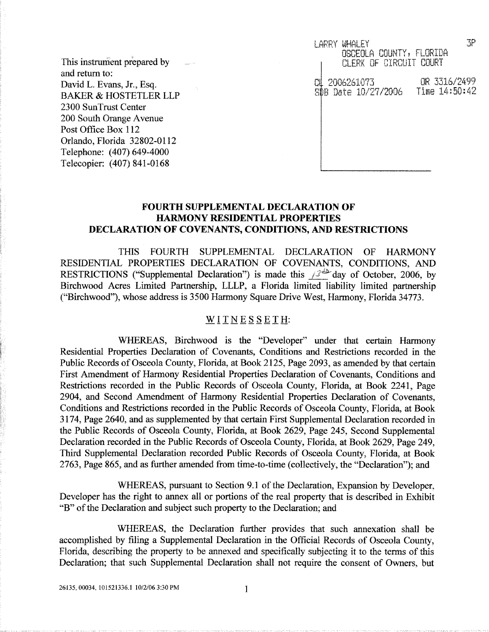This instrument prepared by and return to: David L. Evans, Jr., Esq. BAKER & HOSTETLER LLP 2300 SunTrust Center 200 South Orange Avenue Post Office Box 112 Orlando, Florida 32802-0112 Telephone: (407) 649-4000 Telecopier: (407) 841-0168

3P LARRY WHALEY OSCEOLA COUNTY, FLORIDA CLERK OF CIRCUIT COURT 2006261073 *OR `x316/2499* ПI SDB Date 10/27/2006 Time 14:50:42

## **FOURTH SUPPLEMENTAL DECLARATION OF HARMONY RESIDENTIAL PROPERTIES DECLARATION OF COVENANTS, CONDITIONS, AND RESTRICTIONS**

THIS FOURTH SUPPLEMENTAL DECLARATION OF HARMONY RESIDENTIAL PROPERTIES DECLARATION OF COVENANTS, CONDITIONS, AND RESTRICTIONS ("Supplemental Declaration") is made this  $\beta^4$  day of October, 2006, by Birchwood Acres Limited Partnership, LLLP, a Florida limited liability limited partnership ("Birchwood"), whose address is 3500 Harmony Square Drive West, Harmony, Florida *34773.*

## WITNESSETH:

WHEREAS, Birchwood is the "Developer" under that certain Harmony Residential Properties Declaration of Covenants, Conditions and Restrictions recorded in the Public Records of Osceola County, Florida, at Book 2125, Page 2093, as amended by that certain First Amendment of Harmony Residential Properties Declaration of Covenants, Conditions and Restrictions recorded in the Public Records of Osceola County, Florida, at Book 2241, Page 2904, and Second Amendment of Harmony Residential Properties Declaration of Covenants, Conditions and Restrictions recorded in the Public Records of Osceola County, Florida, at Book 3174, Page 2640, and as supplemented by that certain First Supplemental Declaration recorded in the Public Records of Osceola County, Florida, at Book 2629, Page 245, Second Supplemental Declaration recorded in the Public Records of Osceola County, Florida, at Book 2629, Page 249, Third Supplemental Declaration recorded Public Records of Osceola County, Florida, at Book 2763, Page 865, and as further amended from time-to-time (collectively, the "Declaration"); and

WHEREAS, pursuant to Section 9.1 of the Declaration, Expansion by Developer, Developer has the right to annex all or portions of the real property that is described in Exhibit "B" of the Declaration and subject such property to the Declaration; and

WHEREAS, the Declaration further provides that such annexation shall be accomplished by filing a Supplemental Declaration in the Official Records of Osceola County, Florida, describing the property to be annexed and specifically subjecting it to the terms of this Declaration; that such Supplemental Declaration shall not require the consent of Owners, but

 $\mathbf{1}$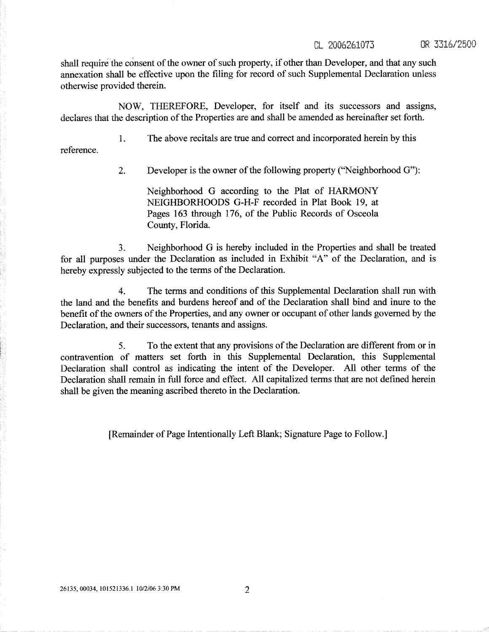shall require the consent of the owner of such property, if other than Developer, and that any such annexation shall be effective upon the filing for record of such Supplemental Declaration unless otherwise provided therein.

NOW, THEREFORE, Developer, for itself and its successors and assigns, declares that the description of the Properties are and shall be amended as hereinafter set forth.

1. The above recitals are true and correct and incorporated herein by this

reference.

2. Developer is the owner of the fallowing property ("Neighborhood G"):

Neighborhood G according to the Plat of HARMONY NEIGHBORHOODS G-H-F recorded in Plat Book 19, at Pages 163 through 176, of the Public Records of Osceola County, Florida.

3. Neighborhood G is hereby included in the Properties and shall be treated for all purposes under the Declaration as included in Exhibit "A" of the Declaration, and is hereby expressly subjected to the terms of the Declaration.

4. The terms and conditions of this Supplemental Declaration shall run with the land and the benefits and burdens hereof and of the Declaration shall bind and inure to the benefit of the owners of the Properties, and any owner or occupant of other lands governed by the Declaration, and their successors, tenants and assigns.

5. To the extent that any provisions of the Declaration are different from or in contravention of matters set forth in this Supplemental Declaration, this Supplemental Declaration shall control as indicating the intent of the Developer. All other terms of the Declaration shall remain in full force and effect. All capitalized terms that are not defined herein shall be given the meaning ascribed thereto in the Declaration.

[Remainder of Page Intentionally Left Blank; Signature Page to Follow.]